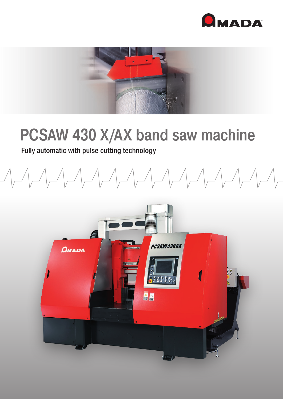



## PCSAW 430 X/AX band saw machine

## Fully automatic with pulse cutting technology

 $\begin{picture}(120,10) \put(0,0){\dashbox{0.5}(10,0){ }} \put(15,0){\dashbox{0.5}(10,0){ }} \put(15,0){\dashbox{0.5}(10,0){ }} \put(15,0){\dashbox{0.5}(10,0){ }} \put(15,0){\dashbox{0.5}(10,0){ }} \put(15,0){\dashbox{0.5}(10,0){ }} \put(15,0){\dashbox{0.5}(10,0){ }} \put(15,0){\dashbox{0.5}(10,0){ }} \put(15,0){\dashbox{0.5}(10,0){ }} \put(15,0){\dashbox$ 

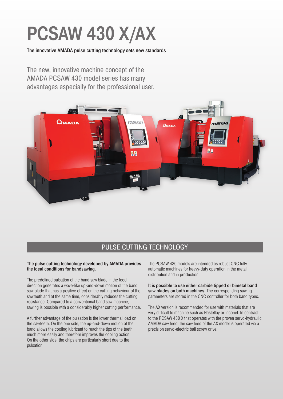# PCSAW 430 X/AX

The innovative AMADA pulse cutting technology sets new standards

The new, innovative machine concept of the AMADA PCSAW 430 model series has many advantages especially for the professional user.



## PULSE CUTTING TECHNOLOGY

#### The pulse cutting technology developed by AMADA provides the ideal conditions for bandsawing.

The predefined pulsation of the band saw blade in the feed direction generates a wave-like up-and-down motion of the band saw blade that has a positive effect on the cutting behaviour of the sawteeth and at the same time, considerably reduces the cutting resistance. Compared to a conventional band saw machine, sawing is possible with a considerably higher cutting performance.

A further advantage of the pulsation is the lower thermal load on the sawteeth. On the one side, the up-and-down motion of the band allows the cooling lubricant to reach the tips of the teeth much more easily and therefore improves the cooling action. On the other side, the chips are particularly short due to the pulsation.

The PCSAW 430 models are intended as robust CNC fully automatic machines for heavy-duty operation in the metal distribution and in production.

It is possible to use either carbide tipped or bimetal band saw blades on both machines. The corresponding sawing parameters are stored in the CNC controller for both band types.

The AX version is recommended for use with materials that are very difficult to machine such as Hastelloy or Inconel. In contrast to the PCSAW 430 X that operates with the proven servo-hydraulic AMADA saw feed, the saw feed of the AX model is operated via a precision servo-electric ball screw drive.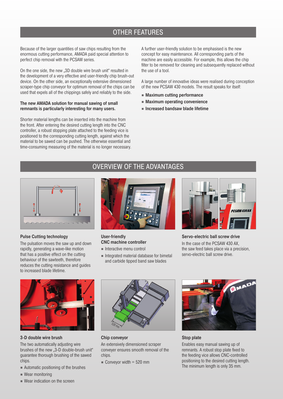## OTHER FEATURES

Because of the larger quantities of saw chips resulting from the enormous cutting performance, AMADA paid special attention to perfect chip removal with the PCSAW series.

On the one side, the new ..3D double wire brush unit" resulted in the development of a very effective and user-friendly chip brush-out device. On the other side, an exceptionally extensive dimensioned scraper-type chip conveyor for optimum removal of the chips can be used that expels all of the chippings safely and reliably to the side.

#### The new AMADA solution for manual sawing of small remnants is particularly interesting for many users.

Shorter material lengths can be inserted into the machine from the front. After entering the desired cutting length into the CNC controller, a robust stopping plate attached to the feeding vice is positioned to the corresponding cutting length, against which the material to be sawed can be pushed. The otherwise essential and time-consuming measuring of the material is no longer necessary. A further user-friendly solution to be emphasised is the new concept for easy maintenance. All corresponding parts of the machine are easily accessible. For example, this allows the chip filter to be removed for cleaning and subsequently replaced without the use of a tool.

A large number of innovative ideas were realised during conception of the new PCSAW 430 models. The result speaks for itself:

- Maximum cutting performance
- Maximum operating convenience
- Increased bandsaw blade lifetime

### Pulse Cutting technology

The pulsation moves the saw up and down rapidly, generating a wave-like motion that has a positive effect on the cutting behaviour of the sawteeth, therefore reduces the cutting resistance and guides to increased blade lifetime.



#### User-friendly CNC machine controller

- Interactive menu control
- Integrated material database for bimetal and carbide tipped band saw blades



Servo-electric ball screw drive In the case of the PCSAW 430 AX, the saw feed takes place via a precision, servo-electric ball screw drive.



#### 3-D double wire brush

The two automatically adjusting wire brushes of the new "3-D double-brush unit" guarantee thorough brushing of the sawed chips.

- Automatic positioning of the brushes
- Wear monitoring
- Wear indication on the screen



#### Chip conveyor

An extensively dimensioned scraper conveyer ensures smooth removal of the chips.

 $\blacksquare$  Conveyor width = 520 mm



### Stop plate

Enables easy manual sawing up of remnants. A robust stop plate fixed to the feeding vice allows CNC-controlled positioning to the desired cutting length. The minimum length is only 35 mm.

## OVERVIEW OF THE ADVANTAGES